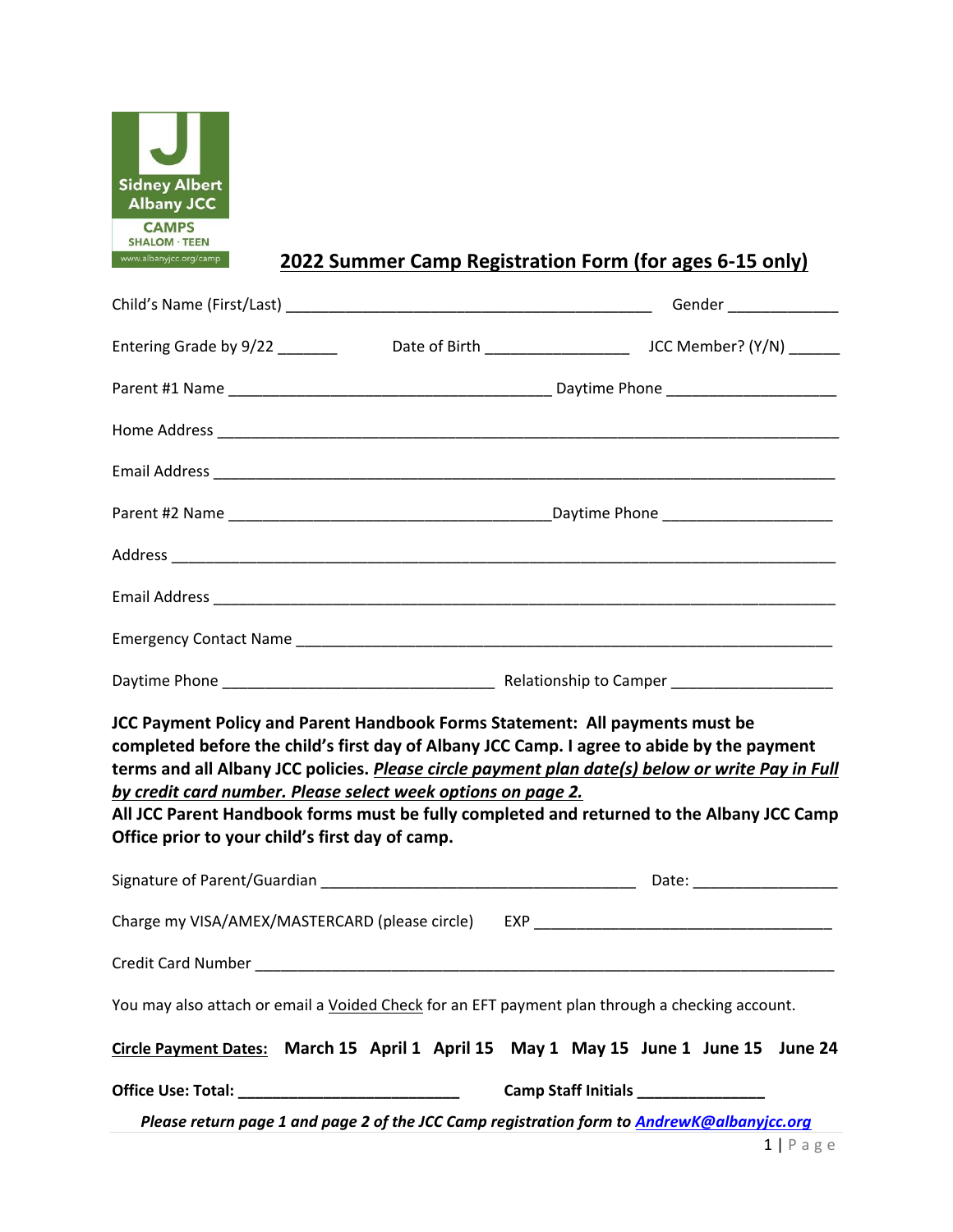

# **2022 Summer Camp Registration Form (for ages 6-15 only)**

| Entering Grade by 9/22 ______                                                                                                                                                                   |                                                                                                                                                                                                                                                                                             |
|-------------------------------------------------------------------------------------------------------------------------------------------------------------------------------------------------|---------------------------------------------------------------------------------------------------------------------------------------------------------------------------------------------------------------------------------------------------------------------------------------------|
|                                                                                                                                                                                                 |                                                                                                                                                                                                                                                                                             |
|                                                                                                                                                                                                 |                                                                                                                                                                                                                                                                                             |
|                                                                                                                                                                                                 |                                                                                                                                                                                                                                                                                             |
|                                                                                                                                                                                                 |                                                                                                                                                                                                                                                                                             |
|                                                                                                                                                                                                 |                                                                                                                                                                                                                                                                                             |
|                                                                                                                                                                                                 |                                                                                                                                                                                                                                                                                             |
|                                                                                                                                                                                                 |                                                                                                                                                                                                                                                                                             |
|                                                                                                                                                                                                 |                                                                                                                                                                                                                                                                                             |
| JCC Payment Policy and Parent Handbook Forms Statement: All payments must be<br>by credit card number. Please select week options on page 2.<br>Office prior to your child's first day of camp. | completed before the child's first day of Albany JCC Camp. I agree to abide by the payment<br>terms and all Albany JCC policies. Please circle payment plan date(s) below or write Pay in Full<br>All JCC Parent Handbook forms must be fully completed and returned to the Albany JCC Camp |
|                                                                                                                                                                                                 |                                                                                                                                                                                                                                                                                             |
|                                                                                                                                                                                                 | Charge my VISA/AMEX/MASTERCARD (please circle) EXP ______________________________                                                                                                                                                                                                           |
|                                                                                                                                                                                                 |                                                                                                                                                                                                                                                                                             |
|                                                                                                                                                                                                 | You may also attach or email a Voided Check for an EFT payment plan through a checking account.                                                                                                                                                                                             |
|                                                                                                                                                                                                 | Circle Payment Dates: March 15 April 1 April 15 May 1 May 15 June 1 June 15 June 24                                                                                                                                                                                                         |
|                                                                                                                                                                                                 | Camp Staff Initials _______________                                                                                                                                                                                                                                                         |
|                                                                                                                                                                                                 | Please return page 1 and page 2 of the JCC Camp registration form to <b>AndrewK@albanyjcc.org</b>                                                                                                                                                                                           |